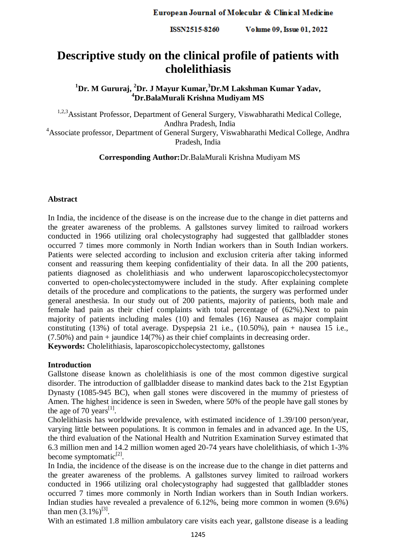ISSN2515-8260 Volume 09, Issue 01, 2022

# **Descriptive study on the clinical profile of patients with cholelithiasis**

**<sup>1</sup>Dr. M Gururaj, <sup>2</sup>Dr. J Mayur Kumar,<sup>3</sup>Dr.M Lakshman Kumar Yadav, <sup>4</sup>Dr.BalaMurali Krishna Mudiyam MS**

1,2,3Assistant Professor, Department of General Surgery, Viswabharathi Medical College, Andhra Pradesh, India <sup>4</sup>Associate professor, Department of General Surgery, Viswabharathi Medical College, Andhra Pradesh, India

**Corresponding Author:**Dr.BalaMurali Krishna Mudiyam MS

### **Abstract**

In India, the incidence of the disease is on the increase due to the change in diet patterns and the greater awareness of the problems. A gallstones survey limited to railroad workers conducted in 1966 utilizing oral cholecystography had suggested that gallbladder stones occurred 7 times more commonly in North Indian workers than in South Indian workers. Patients were selected according to inclusion and exclusion criteria after taking informed consent and reassuring them keeping confidentiality of their data. In all the 200 patients, patients diagnosed as cholelithiasis and who underwent laparoscopiccholecystectomyor converted to open-cholecystectomywere included in the study. After explaining complete details of the procedure and complications to the patients, the surgery was performed under general anesthesia. In our study out of 200 patients, majority of patients, both male and female had pain as their chief complaints with total percentage of (62%).Next to pain majority of patients including males (10) and females (16) Nausea as major complaint constituting  $(13%)$  of total average. Dyspepsia 21 i.e.,  $(10.50%)$ , pain + nausea 15 i.e., (7.50%) and pain + jaundice 14(7%) as their chief complaints in decreasing order. **Keywords:** Cholelithiasis, laparoscopiccholecystectomy, gallstones

#### **Introduction**

Gallstone disease known as cholelithiasis is one of the most common digestive surgical disorder. The introduction of gallbladder disease to mankind dates back to the 21st Egyptian Dynasty (1085-945 BC), when gall stones were discovered in the mummy of priestess of Amen. The highest incidence is seen in Sweden, where 50% of the people have gall stones by the age of 70 years<sup>[1]</sup>.

Cholelithiasis has worldwide prevalence, with estimated incidence of 1.39/100 person/year, varying little between populations. It is common in females and in advanced age. In the US, the third evaluation of the National Health and Nutrition Examination Survey estimated that 6.3 million men and 14.2 million women aged 20-74 years have cholelithiasis, of which 1-3% become symptomatic<sup>[2]</sup>.

In India, the incidence of the disease is on the increase due to the change in diet patterns and the greater awareness of the problems. A gallstones survey limited to railroad workers conducted in 1966 utilizing oral cholecystography had suggested that gallbladder stones occurred 7 times more commonly in North Indian workers than in South Indian workers. Indian studies have revealed a prevalence of 6.12%, being more common in women (9.6%) than men  $(3.1\%)^{[3]}$ .

With an estimated 1.8 million ambulatory care visits each year, gallstone disease is a leading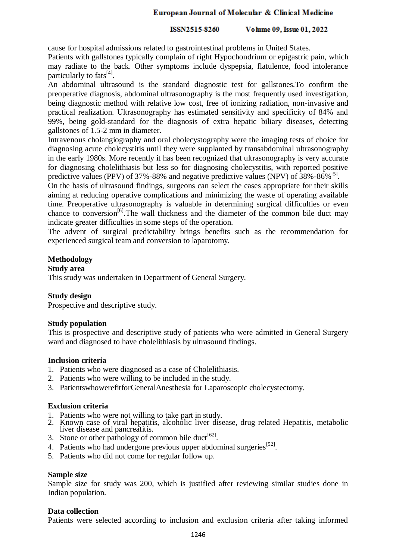# European Journal of Molecular & Clinical Medicine

#### ISSN2515-8260 Volume 09, Issue 01, 2022

cause for hospital admissions related to gastrointestinal problems in United States. Patients with gallstones typically complain of right Hypochondrium or epigastric pain, which may radiate to the back. Other symptoms include dyspepsia, flatulence, food intolerance particularly to fats<sup>[4]</sup>.

An abdominal ultrasound is the standard diagnostic test for gallstones.To confirm the preoperative diagnosis, abdominal ultrasonography is the most frequently used investigation, being diagnostic method with relative low cost, free of ionizing radiation, non-invasive and practical realization. Ultrasonography has estimated sensitivity and specificity of 84% and 99%, being gold-standard for the diagnosis of extra hepatic biliary diseases, detecting gallstones of 1.5-2 mm in diameter.

Intravenous cholangiography and oral cholecystography were the imaging tests of choice for diagnosing acute cholecystitis until they were supplanted by transabdominal ultrasonography in the early 1980s. More recently it has been recognized that ultrasonography is very accurate for diagnosing cholelithiasis but less so for diagnosing cholecystitis, with reported positive predictive values (PPV) of 37%-88% and negative predictive values (NPV) of 38%-86%<sup>[5]</sup>.

On the basis of ultrasound findings, surgeons can select the cases appropriate for their skills aiming at reducing operative complications and minimizing the waste of operating available time. Preoperative ultrasonography is valuable in determining surgical difficulties or even chance to conversion<sup>[6]</sup>. The wall thickness and the diameter of the common bile duct may indicate greater difficulties in some steps of the operation.

The advent of surgical predictability brings benefits such as the recommendation for experienced surgical team and conversion to laparotomy.

# **Methodology**

### **Study area**

This study was undertaken in Department of General Surgery.

# **Study design**

Prospective and descriptive study.

# **Study population**

This is prospective and descriptive study of patients who were admitted in General Surgery ward and diagnosed to have cholelithiasis by ultrasound findings.

# **Inclusion criteria**

- 1. Patients who were diagnosed as a case of Cholelithiasis.
- 2. Patients who were willing to be included in the study.
- 3. PatientswhowerefitforGeneralAnesthesia for Laparoscopic cholecystectomy.

# **Exclusion criteria**

- 1. Patients who were not willing to take part in study.
- 2. Known case of viral hepatitis, alcoholic liver disease, drug related Hepatitis, metabolic liver disease and pancreatitis.
- 3. Stone or other pathology of common bile duct<sup>[62]</sup>.
- 4. Patients who had undergone previous upper abdominal surgeries<sup>[52]</sup>.
- 5. Patients who did not come for regular follow up.

#### **Sample size**

Sample size for study was 200, which is justified after reviewing similar studies done in Indian population.

#### **Data collection**

Patients were selected according to inclusion and exclusion criteria after taking informed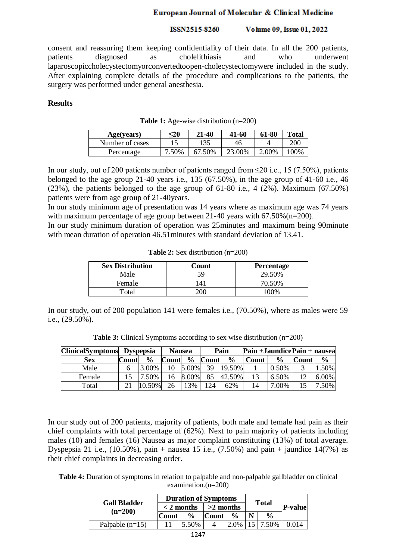# European Journal of Molecular & Clinical Medicine

#### ISSN2515-8260 Volume 09, Issue 01, 2022

consent and reassuring them keeping confidentiality of their data. In all the 200 patients, patients diagnosed as cholelithiasis and who underwent laparoscopiccholecystectomyorconvertedtoopen-cholecystectomywere included in the study. After explaining complete details of the procedure and complications to the patients, the surgery was performed under general anesthesia.

### **Results**

| Age(years)      | $<$ 20 | 21-40  | 41-60  | 61-80 | <b>Total</b> |
|-----------------|--------|--------|--------|-------|--------------|
| Number of cases |        | 135    | 46     |       | 200          |
| Percentage      | '.50%  | 67 50% | 23.00% | 2.00% | 100%         |

**Table 1:** Age-wise distribution (n=200)

In our study, out of 200 patients number of patients ranged from  $\leq$ 20 i.e., 15 (7.50%), patients belonged to the age group 21-40 years i.e., 135  $(67.50\%)$ , in the age group of 41-60 i.e., 46 (23%), the patients belonged to the age group of 61-80 i.e., 4  $(2\%)$ . Maximum (67.50%) patients were from age group of 21-40years.

In our study minimum age of presentation was 14 years where as maximum age was 74 years with maximum percentage of age group between 21-40 years with 67.50% (n=200).

In our study minimum duration of operation was 25minutes and maximum being 90minute with mean duration of operation 46.51 minutes with standard deviation of 13.41.

| <b>Sex Distribution</b> | Count      | <b>Percentage</b> |  |  |
|-------------------------|------------|-------------------|--|--|
| Male                    | 59         | 29.50%            |  |  |
| Female                  | $\vert$ 41 | 70.50%            |  |  |
| Total                   |            | 100%              |  |  |

**Table 2:** Sex distribution (n=200)

In our study, out of 200 population 141 were females i.e., (70.50%), where as males were 59 i.e., (29.50%).

**Table 3:** Clinical Symptoms according to sex wise distribution (n=200)

| ClinicalSymptoms Dyspepsia |       |               | <b>Nausea</b> |               | Pain  |               | Pain + Jaundice Pain + nausea |               |       |               |
|----------------------------|-------|---------------|---------------|---------------|-------|---------------|-------------------------------|---------------|-------|---------------|
| Sex                        | Count | $\frac{0}{0}$ | Count         | $\frac{6}{9}$ | Count | $\frac{0}{0}$ | Count                         | $\frac{6}{9}$ | Count | $\frac{0}{0}$ |
| Male                       |       | 3.00%         | 10            | 5.00%         | 39    | 19.50%        |                               | 0.50%         |       | 1.50%         |
| Female                     |       | 7.50%         | 16            | 8.00%         | 85    | 42.50%        |                               | 6.50%         | 12    | 6.00%         |
| Total                      |       | 10.50%        | 26            | 13%           | 124   | 62%           |                               | 7.00%         |       | 7.50%         |

In our study out of 200 patients, majority of patients, both male and female had pain as their chief complaints with total percentage of (62%). Next to pain majority of patients including males (10) and females (16) Nausea as major complaint constituting (13%) of total average. Dyspepsia 21 i.e., (10.50%), pain + nausea 15 i.e., (7.50%) and pain + jaundice  $14(7\%)$  as their chief complaints in decreasing order.

**Table 4:** Duration of symptoms in relation to palpable and non-palpable gallbladder on clinical examination.(n=200)

| <b>Gall Bladder</b><br>$(n=200)$ |              | <b>Duration of Symptoms</b> |             | <b>Total</b>  |  |               |         |
|----------------------------------|--------------|-----------------------------|-------------|---------------|--|---------------|---------|
|                                  | $<$ 2 months |                             | $>2$ months |               |  |               | P-value |
|                                  | <b>Count</b> | $\frac{0}{0}$               | Count       | $\frac{0}{0}$ |  | $\frac{0}{0}$ |         |
| Palpable $(n=15)$                |              | 5.50%                       |             | 2.0%          |  | 7.50%         |         |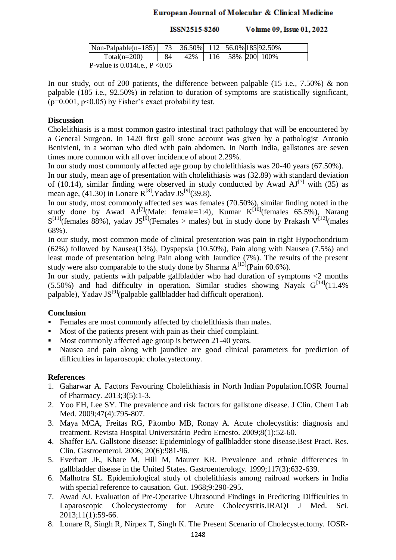# European Journal of Molecular & Clinical Medicine

Volume 09, Issue 01, 2022 ISSN2515-8260

| $\vert$ Non-Palpable(n=185) $\vert$ 73              |    | $ 36.50\% $ 112 $ 56.0\% 185 92.50\% $ |  |                        |  |
|-----------------------------------------------------|----|----------------------------------------|--|------------------------|--|
| Total( $n=200$ )                                    | 84 | 42%                                    |  | 116   58%   200   100% |  |
| $D_{\text{val}}$ is 0.014; $\sim$ D $\triangle$ 0.5 |    |                                        |  |                        |  |

P-value is 0.014i.e., P <0.05

In our study, out of 200 patients, the difference between palpable (15 i.e., 7.50%) & non palpable (185 i.e., 92.50%) in relation to duration of symptoms are statistically significant,  $(p=0.001, p<0.05)$  by Fisher's exact probability test.

# **Discussion**

Cholelithiasis is a most common gastro intestinal tract pathology that will be encountered by a General Surgeon. In 1420 first gall stone account was given by a pathologist Antonio Benivieni, in a woman who died with pain abdomen. In North India, gallstones are seven times more common with all over incidence of about 2.29%.

In our study most commonly affected age group by cholelithiasis was 20-40 years (67.50%).

In our study, mean age of presentation with cholelithiasis was (32.89) with standard deviation of (10.14), similar finding were observed in study conducted by Awad  $AJ^{[7]}$  with (35) as mean age, (41.30) in Lonare  $R^{[8]}$ , Yadav JS<sup>[9]</sup>(39.8).

In our study, most commonly affected sex was females (70.50%), similar finding noted in the study done by Awad  $AJ^{[7]}(Male: female=1:4)$ , Kumar  $K^{[10]}($ *females 65.5%* $), Narang$  $S^{[11]}$ (females 88%), yadav JS<sup>[9]</sup>(Females > males) but in study done by Prakash V<sup>[12]</sup>(males 68%).

In our study, most common mode of clinical presentation was pain in right Hypochondrium (62%) followed by Nausea(13%), Dyspepsia (10.50%), Pain along with Nausea (7.5%) and least mode of presentation being Pain along with Jaundice (7%). The results of the present study were also comparable to the study done by Sharma  $A^{[13]}$ (Pain 60.6%).

In our study, patients with palpable gallbladder who had duration of symptoms <2 months  $(5.50%)$  and had difficulty in operation. Similar studies showing Nayak  $G^{[14]}(11.4%)$ palpable), Yadav JS<sup>[9]</sup>(palpable gallbladder had difficult operation).

# **Conclusion**

- Females are most commonly affected by cholelithiasis than males.
- Most of the patients present with pain as their chief complaint.
- Most commonly affected age group is between 21-40 years.
- Nausea and pain along with jaundice are good clinical parameters for prediction of difficulties in laparoscopic cholecystectomy.

# **References**

- 1. Gaharwar A. Factors Favouring Cholelithiasis in North Indian Population.IOSR Journal of Pharmacy. 2013;3(5):1-3.
- 2. Yoo EH, Lee SY. The prevalence and risk factors for gallstone disease. J Clin. Chem Lab Med. 2009:47(4):795-807.
- 3. Maya MCA, Freitas RG, Pitombo MB, Ronay A. Acute cholecystitis: diagnosis and treatment. Revista Hospital Universitário Pedro Ernesto. 2009;8(1):52-60.
- 4. Shaffer EA. Gallstone disease: Epidemiology of gallbladder stone disease.Best Pract. Res. Clin. Gastroenterol. 2006; 20(6):981-96.
- 5. Everhart JE, Khare M, Hill M, Maurer KR. Prevalence and ethnic differences in gallbladder disease in the United States. Gastroenterology. 1999;117(3):632-639.
- 6. Malhotra SL. Epidemiological study of cholelithiasis among railroad workers in India with special reference to causation. Gut. 1968;9:290-295.
- 7. Awad AJ. Evaluation of Pre-Operative Ultrasound Findings in Predicting Difficulties in Laparoscopic Cholecystectomy for Acute Cholecystitis*.*IRAQI J Med. Sci. 2013;11(1):59-66.
- 8. Lonare R, Singh R, Nirpex T, Singh K. The Present Scenario of Cholecystectomy. IOSR-